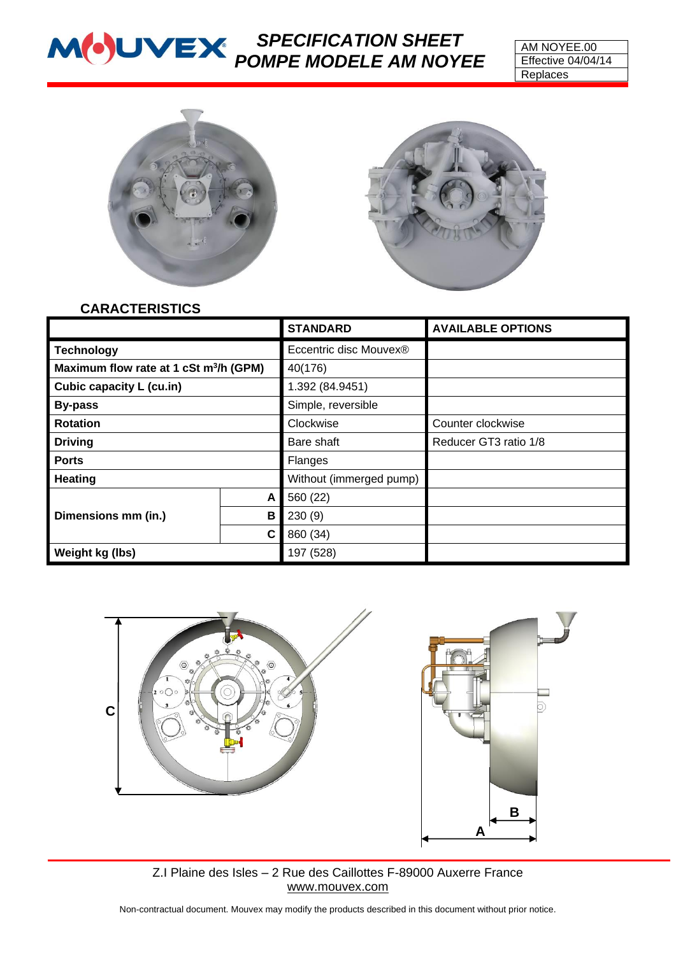# *SPECIFICATION SHEET POMPE MODELE AM NOYEE*





### **CARACTERISTICS**

|                                                    |   | <b>STANDARD</b>                    | <b>AVAILABLE OPTIONS</b> |
|----------------------------------------------------|---|------------------------------------|--------------------------|
| <b>Technology</b>                                  |   | Eccentric disc Mouvex <sup>®</sup> |                          |
| Maximum flow rate at 1 cSt m <sup>3</sup> /h (GPM) |   | 40(176)                            |                          |
| Cubic capacity L (cu.in)                           |   | 1.392 (84.9451)                    |                          |
| <b>By-pass</b>                                     |   | Simple, reversible                 |                          |
| <b>Rotation</b>                                    |   | Clockwise                          | Counter clockwise        |
| <b>Driving</b>                                     |   | Bare shaft                         | Reducer GT3 ratio 1/8    |
| <b>Ports</b>                                       |   | Flanges                            |                          |
| <b>Heating</b>                                     |   | Without (immerged pump)            |                          |
| Dimensions mm (in.)                                | A | 560 (22)                           |                          |
|                                                    | B | 230(9)                             |                          |
|                                                    | C | 860 (34)                           |                          |
| Weight kg (lbs)                                    |   | 197 (528)                          |                          |



Z.I Plaine des Isles – 2 Rue des Caillottes F-89000 Auxerre France [www.mouvex.com](http://www.mouvex.com/)

Non-contractual document. Mouvex may modify the products described in this document without prior notice.